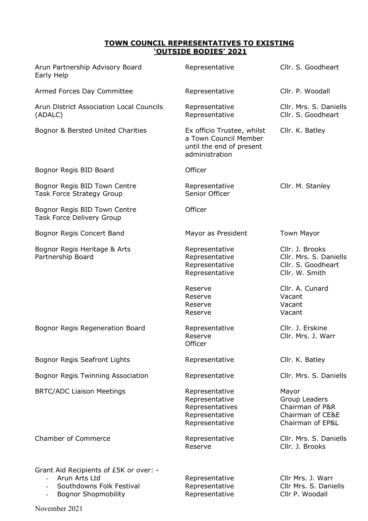## **TOWN COUNCIL REPRESENTATIVES TO EXISTING 'OUTSIDE BODIES' 2021**

| Arun Partnership Advisory Board<br>Early Help                                                                                       | Representative                                                                                    | Cllr. S. Goodheart                                                                |
|-------------------------------------------------------------------------------------------------------------------------------------|---------------------------------------------------------------------------------------------------|-----------------------------------------------------------------------------------|
| Armed Forces Day Committee                                                                                                          | Representative                                                                                    | Cllr. P. Woodall                                                                  |
| Arun District Association Local Councils<br>(ADALC)                                                                                 | Representative<br>Representative                                                                  | Cllr. Mrs. S. Daniells<br>Cllr. S. Goodheart                                      |
| Bognor & Bersted United Charities                                                                                                   | Ex officio Trustee, whilst<br>a Town Council Member<br>until the end of present<br>administration | Cllr. K. Batley                                                                   |
| Bognor Regis BID Board                                                                                                              | Officer                                                                                           |                                                                                   |
| Bognor Regis BID Town Centre<br><b>Task Force Strategy Group</b>                                                                    | Representative<br>Senior Officer                                                                  | Cllr. M. Stanley                                                                  |
| Bognor Regis BID Town Centre<br>Task Force Delivery Group                                                                           | Officer                                                                                           |                                                                                   |
| Bognor Regis Concert Band                                                                                                           | Mayor as President                                                                                | <b>Town Mayor</b>                                                                 |
| Bognor Regis Heritage & Arts<br>Partnership Board                                                                                   | Representative<br>Representative<br>Representative<br>Representative                              | Cllr. J. Brooks<br>Cllr. Mrs. S. Daniells<br>Cllr. S. Goodheart<br>Cllr. W. Smith |
|                                                                                                                                     | Reserve<br>Reserve<br>Reserve<br>Reserve                                                          | Cllr. A. Cunard<br>Vacant<br>Vacant<br>Vacant                                     |
| Bognor Regis Regeneration Board                                                                                                     | Representative<br>Reserve<br>Officer                                                              | Cllr. J. Erskine<br>Cllr. Mrs. J. Warr                                            |
| Bognor Regis Seafront Lights                                                                                                        | Representative                                                                                    | Cllr. K. Batley                                                                   |
| <b>Bognor Regis Twinning Association</b>                                                                                            | Representative                                                                                    | Cllr. Mrs. S. Daniells                                                            |
| <b>BRTC/ADC Liaison Meetings</b>                                                                                                    | Representative<br>Representative<br>Representatives<br>Representative<br>Representative           | Mayor<br>Group Leaders<br>Chairman of P&R<br>Chairman of CE&E<br>Chairman of EP&L |
| <b>Chamber of Commerce</b>                                                                                                          | Representative<br>Reserve                                                                         | Cllr. Mrs. S. Daniells<br>Cllr. J. Brooks                                         |
| Grant Aid Recipients of £5K or over: -<br>Arun Arts Ltd<br>Southdowns Folk Festival<br><b>Bognor Shopmobility</b><br>$\blacksquare$ | Representative<br>Representative<br>Representative                                                | Cllr Mrs. J. Warr<br>Cllr Mrs. S. Daniells<br>Cllr P. Woodall                     |

November 2021